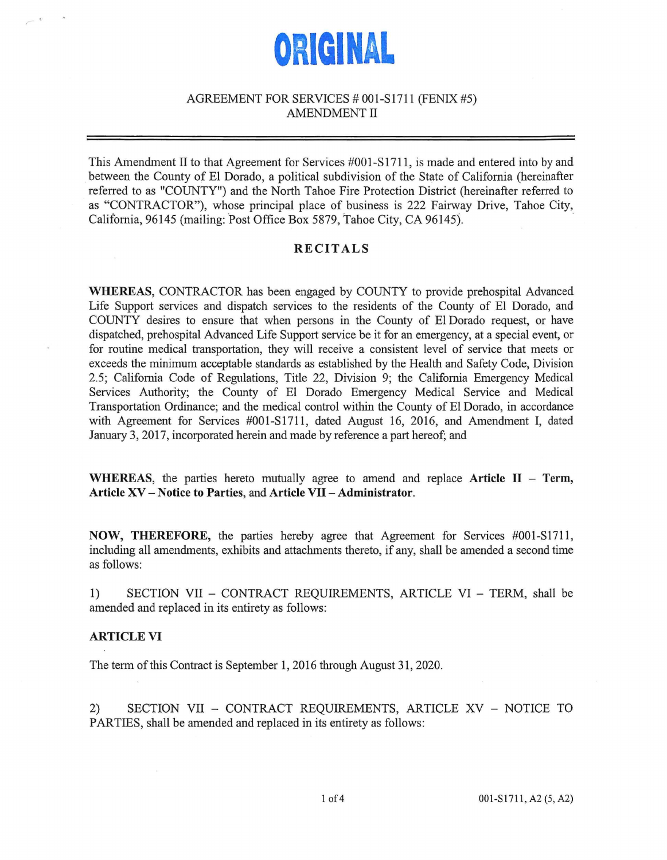

# AGREEMENT FOR SERVICES # 001-S1711 (FENIX #5) AMENDMENT II

This Amendment II to that Agreement for Services #001-S1711, is made and entered into by and between the County of El Dorado, a political subdivision of the State of California (hereinafter referred to as "COUNTY") and the North Tahoe Fire Protection District (hereinafter referred to as "CONTRACTOR"), whose principal place of business is 222 Fairway Drive, Tahoe City, California, 96145 (mailing: Post Office Box 5879, Tahoe City, CA 96145).

# **RECITALS**

**WHEREAS,** CONTRACTOR has been engaged by COUNTY to provide prehospital Advanced Life Support services and dispatch services to the residents of the County of El Dorado, and COUNTY desires to ensure that when persons in the County of El Dorado request, or have dispatched, prehospital Advanced Life Support service be it for an emergency, at a special event, or for routine medical transportation, they will receive a consistent level of service that meets or exceeds the minimum acceptable standards as established by the Health and Safety Code, Division 2.5; California Code of Regulations, Title 22, Division 9; the California Emergency Medical Services Authority; the County of El Dorado Emergency Medical Service and Medical Transportation Ordinance; and the medical control within the County of El Dorado, in accordance with Agreement for Services #001-S1711, dated August 16, 2016, and Amendment I, dated January 3, 2017, incorporated herein and made by reference a part hereof; and

**WHEREAS,** the parties hereto mutually agree to amend and replace **Article** II - **Term, Article XV** - **Notice to Parties,** and **Article VII - Administrator.** 

**NOW, THEREFORE,** the parties hereby agree that Agreement for Services #001-S1711, including all amendments, exhibits and attachments thereto, if any, shall be amended a second time as follows:

1) SECTION VII - CONTRACT REQUIREMENTS, ARTICLE VI - TERM, shall be amended and replaced in its entirety as follows:

#### **ARTICLE VI**

The term of this Contract is September 1, 2016 through August 31, 2020.

2) SECTION VII - CONTRACT REQUIREMENTS, ARTICLE XV - NOTICE TO PARTIES, shall be amended and replaced in its entirety as follows: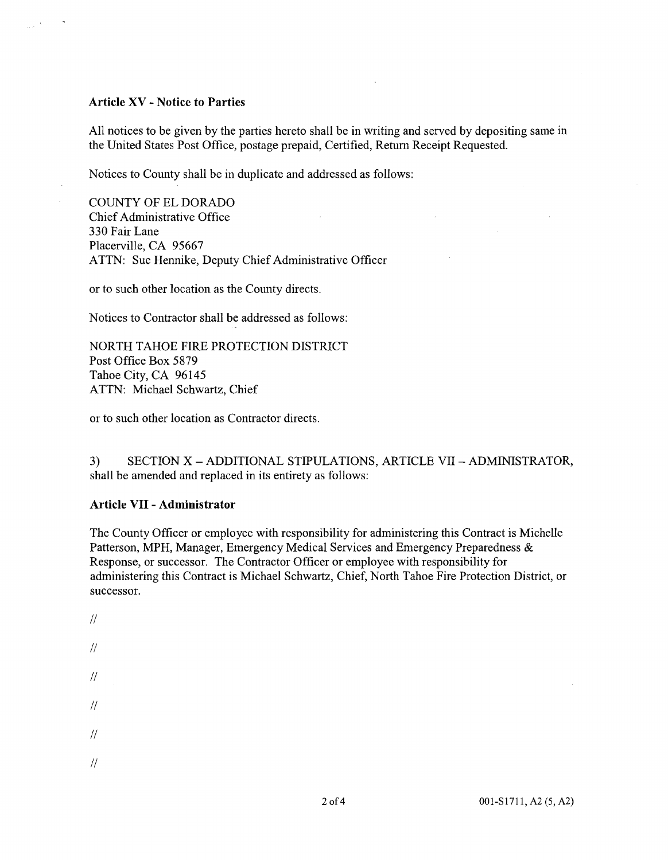### **Article XV** - **Notice to Parties**

All notices to be given by the parties hereto shall be in writing and served by depositing same in the United States Post Office, postage prepaid, Certified, Return Receipt Requested.

Notices to County shall be in duplicate and addressed as follows:

COUNTY OF EL DORADO Chief Administrative Office 330 Fair Lane Placerville, CA 95667 ATTN: Sue Hennike, Deputy Chief Administrative Officer

or to such other location as the County directs.

Notices to Contractor shall be addressed as follows:

NORTH TAHOE FIRE PROTECTION DISTRICT Post Office Box 5879 Tahoe City, CA 96145 ATTN: Michael Schwartz, Chief

or to such other location as Contractor directs.

3) SECTION X - ADDITIONAL STIPULATIONS, ARTICLE VII - ADMINISTRATOR, shall be amended and replaced in its entirety as follows:

## **Article VII** - **Administrator**

The County Officer or employee with responsibility for administering this Contract is Michelle Patterson, MPH, Manager, Emergency Medical Services and Emergency Preparedness & Response, or successor. The Contractor Officer or employee with responsibility for administering this Contract is Michael Schwartz, Chief, North Tahoe Fire Protection District, or successor.

 $\mu$  $\frac{1}{2}$  $\frac{1}{2}$  $\frac{1}{2}$  $\sqrt{2}$  $\sqrt{2}$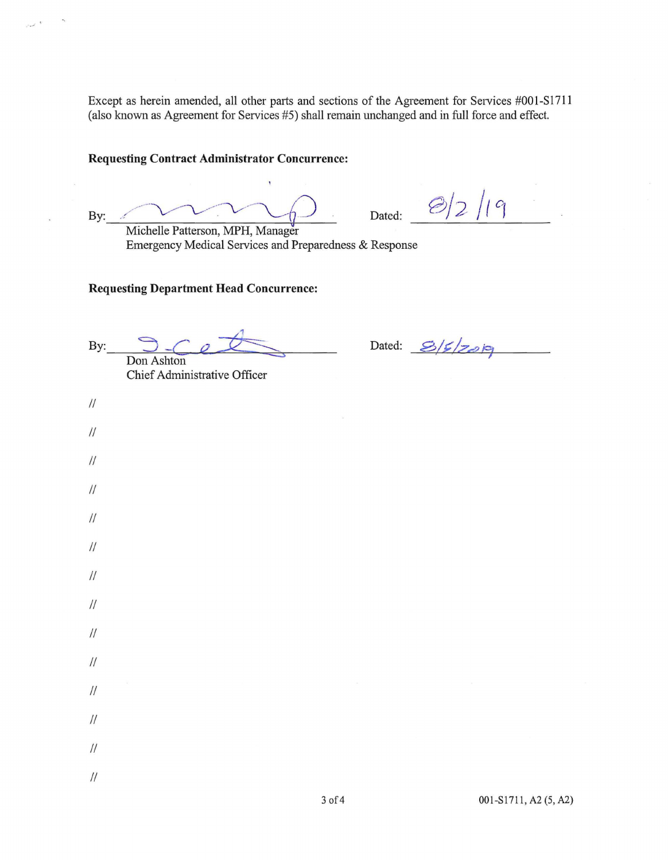Except as herein amended, all other parts and sections of the Agreement for Services #001-S1711 (also known as Agreement for Services #5) shall remain unchanged and in full force and effect.

# **Requesting Contract Administrator Concurrence:**

By: Michelle Patterson, MPH, Manager

 $\frac{2}{2}$ /19 Dated:

Emergency Medical Services and Preparedness & Response

**Requesting Department Head Concurrence:** 

 $\mathsf{By:}\n \begin{picture}(150,17) \put(0,0){\vector(1,0){150}} \put(15,0){\vector(1,0){150}} \put(15,0){\vector(1,0){150}} \put(15,0){\vector(1,0){150}} \put(15,0){\vector(1,0){150}} \put(15,0){\vector(1,0){150}} \put(15,0){\vector(1,0){150}} \put(15,0){\vector(1,0){150}} \put(15,0){\vector(1,0){150}} \put(15,0){\vector(1,0){150}} \put(15,0){\vector($ 

Chief Administrative Officer

 $\frac{1}{2}$ 

 $\frac{1}{2}$ 

 $\ensuremath{\mathnormal{II}}$ 

 $\frac{1}{2}$ 

 $\frac{1}{2}$ 

 $\frac{1}{2}$ 

 $\frac{1}{2}$ 

 $\frac{1}{2}$ 

 $\frac{1}{2}$ 

 $\ensuremath{\mathnormal{II}}$ 

 $\frac{1}{2}$ 

 $\frac{1}{2}$ 

 $\frac{1}{2}$ 

 $\mathcal{U}$ 

Dated: 8/5/2019